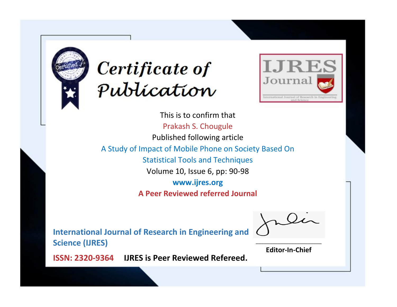



This is to confirm that Prakash S. Chougule Published following article A Study of Impact of Mobile Phone on Society Based On Statistical Tools and Techniques Volume 10, Issue 6, pp: 90-98 **www.ijres.org A Peer Reviewed referred Journal**

**International Journal of Research in Engineering and Science (IJRES)**

\_\_\_\_\_\_\_\_\_\_\_\_\_\_\_\_\_\_\_\_\_\_\_\_ **Editor-In-Chief**

**Journal.**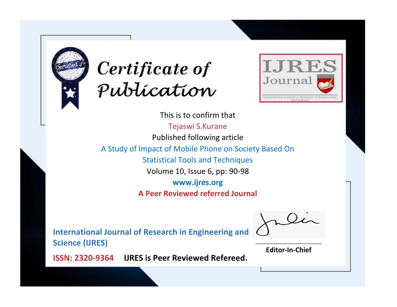



This is to confirm that Tejaswi S.Kurane Published following article A Study of Impact of Mobile Phone on Society Based On Statistical Tools and Techniques Volume 10, Issue 6, pp: 90-98 **www.ijres.org A Peer Reviewed referred Journal**

**International Journal of Research in Engineering and Science (IJRES)**

\_\_\_\_\_\_\_\_\_\_\_\_\_\_\_\_\_\_\_\_\_\_\_\_ **Editor-In-Chief**

**Journal.**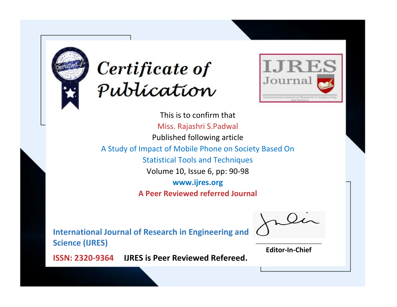



This is to confirm that Miss. Rajashri S.Padwal Published following article A Study of Impact of Mobile Phone on Society Based On Statistical Tools and Techniques Volume 10, Issue 6, pp: 90-98 **www.ijres.org A Peer Reviewed referred Journal**

**International Journal of Research in Engineering and Science (IJRES)**

\_\_\_\_\_\_\_\_\_\_\_\_\_\_\_\_\_\_\_\_\_\_\_\_ **Editor-In-Chief**

**Journal.**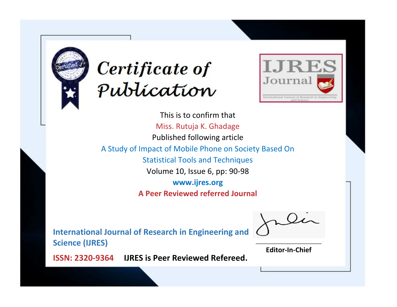



This is to confirm that Miss. Rutuja K. Ghadage Published following article A Study of Impact of Mobile Phone on Society Based On Statistical Tools and Techniques Volume 10, Issue 6, pp: 90-98 **www.ijres.org A Peer Reviewed referred Journal**

**International Journal of Research in Engineering and Science (IJRES)**

\_\_\_\_\_\_\_\_\_\_\_\_\_\_\_\_\_\_\_\_\_\_\_\_ **Editor-In-Chief**

**Journal.**